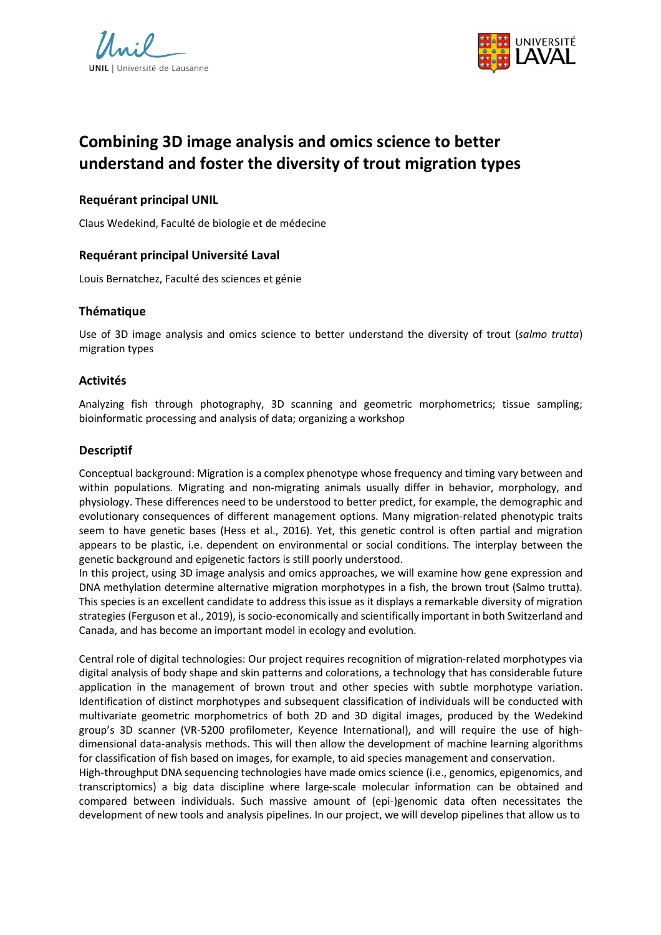



# **Combining 3D image analysis and omics science to better understand and foster the diversity of trout migration types**

## **Requérant principal UNIL**

Claus Wedekind, Faculté de biologie et de médecine

## **Requérant principal Université Laval**

Louis Bernatchez, Faculté des sciences et génie

#### **Thématique**

Use of 3D image analysis and omics science to better understand the diversity of trout (*salmo trutta*) migration types

#### **Activités**

Analyzing fish through photography, 3D scanning and geometric morphometrics; tissue sampling; bioinformatic processing and analysis of data; organizing a workshop

#### **Descriptif**

Conceptual background: Migration is a complex phenotype whose frequency and timing vary between and within populations. Migrating and non-migrating animals usually differ in behavior, morphology, and physiology. These differences need to be understood to better predict, for example, the demographic and evolutionary consequences of different management options. Many migration-related phenotypic traits seem to have genetic bases (Hess et al., 2016). Yet, this genetic control is often partial and migration appears to be plastic, i.e. dependent on environmental or social conditions. The interplay between the genetic background and epigenetic factors is still poorly understood.

In this project, using 3D image analysis and omics approaches, we will examine how gene expression and DNA methylation determine alternative migration morphotypes in a fish, the brown trout (Salmo trutta). This species is an excellent candidate to address this issue as it displays a remarkable diversity of migration strategies (Ferguson et al., 2019), is socio-economically and scientifically important in both Switzerland and Canada, and has become an important model in ecology and evolution.

Central role of digital technologies: Our project requires recognition of migration-related morphotypes via digital analysis of body shape and skin patterns and colorations, a technology that has considerable future application in the management of brown trout and other species with subtle morphotype variation. Identification of distinct morphotypes and subsequent classification of individuals will be conducted with multivariate geometric morphometrics of both 2D and 3D digital images, produced by the Wedekind group's 3D scanner (VR-5200 profilometer, Keyence International), and will require the use of highdimensional data-analysis methods. This will then allow the development of machine learning algorithms for classification of fish based on images, for example, to aid species management and conservation.

High-throughput DNA sequencing technologies have made omics science (i.e., genomics, epigenomics, and transcriptomics) a big data discipline where large-scale molecular information can be obtained and compared between individuals. Such massive amount of (epi-)genomic data often necessitates the development of new tools and analysis pipelines. In our project, we will develop pipelines that allow us to